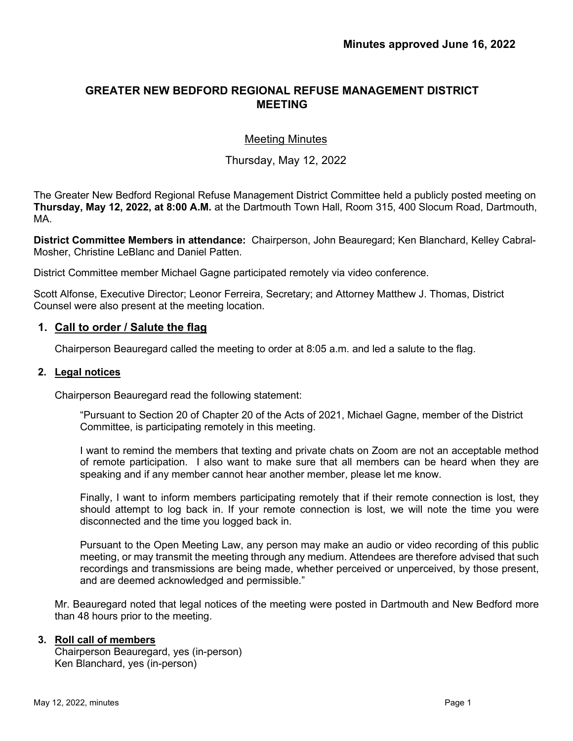# **GREATER NEW BEDFORD REGIONAL REFUSE MANAGEMENT DISTRICT MEETING**

## Meeting Minutes

## Thursday, May 12, 2022

The Greater New Bedford Regional Refuse Management District Committee held a publicly posted meeting on **Thursday, May 12, 2022, at 8:00 A.M.** at the Dartmouth Town Hall, Room 315, 400 Slocum Road, Dartmouth, MA.

**District Committee Members in attendance:** Chairperson, John Beauregard; Ken Blanchard, Kelley Cabral-Mosher, Christine LeBlanc and Daniel Patten.

District Committee member Michael Gagne participated remotely via video conference.

Scott Alfonse, Executive Director; Leonor Ferreira, Secretary; and Attorney Matthew J. Thomas, District Counsel were also present at the meeting location.

### **1. Call to order / Salute the flag**

Chairperson Beauregard called the meeting to order at 8:05 a.m. and led a salute to the flag.

#### **2. Legal notices**

Chairperson Beauregard read the following statement:

"Pursuant to Section 20 of Chapter 20 of the Acts of 2021, Michael Gagne, member of the District Committee, is participating remotely in this meeting.

I want to remind the members that texting and private chats on Zoom are not an acceptable method of remote participation. I also want to make sure that all members can be heard when they are speaking and if any member cannot hear another member, please let me know.

Finally, I want to inform members participating remotely that if their remote connection is lost, they should attempt to log back in. If your remote connection is lost, we will note the time you were disconnected and the time you logged back in.

Pursuant to the Open Meeting Law, any person may make an audio or video recording of this public meeting, or may transmit the meeting through any medium. Attendees are therefore advised that such recordings and transmissions are being made, whether perceived or unperceived, by those present, and are deemed acknowledged and permissible."

Mr. Beauregard noted that legal notices of the meeting were posted in Dartmouth and New Bedford more than 48 hours prior to the meeting.

#### **3. Roll call of members**

Chairperson Beauregard, yes (in-person) Ken Blanchard, yes (in-person)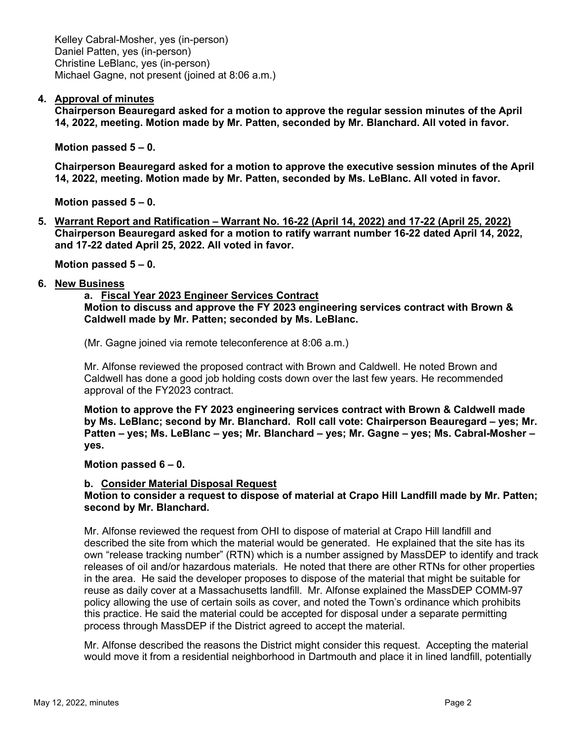Kelley Cabral-Mosher, yes (in-person) Daniel Patten, yes (in-person) Christine LeBlanc, yes (in-person) Michael Gagne, not present (joined at 8:06 a.m.)

### **4. Approval of minutes**

**Chairperson Beauregard asked for a motion to approve the regular session minutes of the April 14, 2022, meeting. Motion made by Mr. Patten, seconded by Mr. Blanchard. All voted in favor.**

**Motion passed 5 – 0.**

**Chairperson Beauregard asked for a motion to approve the executive session minutes of the April 14, 2022, meeting. Motion made by Mr. Patten, seconded by Ms. LeBlanc. All voted in favor.**

**Motion passed 5 – 0.**

**5. Warrant Report and Ratification – Warrant No. 16-22 (April 14, 2022) and 17-22 (April 25, 2022) Chairperson Beauregard asked for a motion to ratify warrant number 16-22 dated April 14, 2022, and 17-22 dated April 25, 2022. All voted in favor.**

**Motion passed 5 – 0.**

#### **6. New Business**

**a. Fiscal Year 2023 Engineer Services Contract Motion to discuss and approve the FY 2023 engineering services contract with Brown & Caldwell made by Mr. Patten; seconded by Ms. LeBlanc.** 

(Mr. Gagne joined via remote teleconference at 8:06 a.m.)

Mr. Alfonse reviewed the proposed contract with Brown and Caldwell. He noted Brown and Caldwell has done a good job holding costs down over the last few years. He recommended approval of the FY2023 contract.

**Motion to approve the FY 2023 engineering services contract with Brown & Caldwell made by Ms. LeBlanc; second by Mr. Blanchard. Roll call vote: Chairperson Beauregard – yes; Mr. Patten – yes; Ms. LeBlanc – yes; Mr. Blanchard – yes; Mr. Gagne – yes; Ms. Cabral-Mosher – yes.** 

**Motion passed 6 – 0.** 

#### **b. Consider Material Disposal Request**

### **Motion to consider a request to dispose of material at Crapo Hill Landfill made by Mr. Patten; second by Mr. Blanchard.**

Mr. Alfonse reviewed the request from OHI to dispose of material at Crapo Hill landfill and described the site from which the material would be generated. He explained that the site has its own "release tracking number" (RTN) which is a number assigned by MassDEP to identify and track releases of oil and/or hazardous materials. He noted that there are other RTNs for other properties in the area. He said the developer proposes to dispose of the material that might be suitable for reuse as daily cover at a Massachusetts landfill. Mr. Alfonse explained the MassDEP COMM-97 policy allowing the use of certain soils as cover, and noted the Town's ordinance which prohibits this practice. He said the material could be accepted for disposal under a separate permitting process through MassDEP if the District agreed to accept the material.

Mr. Alfonse described the reasons the District might consider this request. Accepting the material would move it from a residential neighborhood in Dartmouth and place it in lined landfill, potentially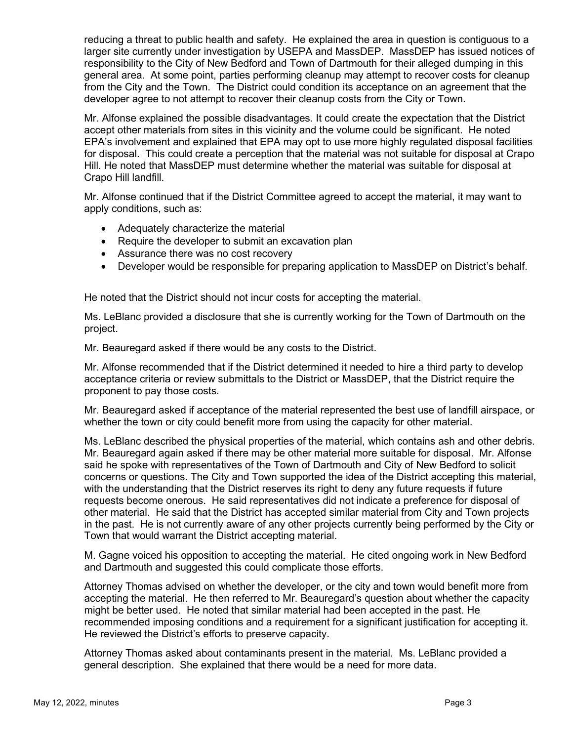reducing a threat to public health and safety. He explained the area in question is contiguous to a larger site currently under investigation by USEPA and MassDEP. MassDEP has issued notices of responsibility to the City of New Bedford and Town of Dartmouth for their alleged dumping in this general area. At some point, parties performing cleanup may attempt to recover costs for cleanup from the City and the Town. The District could condition its acceptance on an agreement that the developer agree to not attempt to recover their cleanup costs from the City or Town.

Mr. Alfonse explained the possible disadvantages. It could create the expectation that the District accept other materials from sites in this vicinity and the volume could be significant. He noted EPA's involvement and explained that EPA may opt to use more highly regulated disposal facilities for disposal. This could create a perception that the material was not suitable for disposal at Crapo Hill. He noted that MassDEP must determine whether the material was suitable for disposal at Crapo Hill landfill.

Mr. Alfonse continued that if the District Committee agreed to accept the material, it may want to apply conditions, such as:

- Adequately characterize the material
- Require the developer to submit an excavation plan
- Assurance there was no cost recovery
- Developer would be responsible for preparing application to MassDEP on District's behalf.

He noted that the District should not incur costs for accepting the material.

Ms. LeBlanc provided a disclosure that she is currently working for the Town of Dartmouth on the project.

Mr. Beauregard asked if there would be any costs to the District.

Mr. Alfonse recommended that if the District determined it needed to hire a third party to develop acceptance criteria or review submittals to the District or MassDEP, that the District require the proponent to pay those costs.

Mr. Beauregard asked if acceptance of the material represented the best use of landfill airspace, or whether the town or city could benefit more from using the capacity for other material.

Ms. LeBlanc described the physical properties of the material, which contains ash and other debris. Mr. Beauregard again asked if there may be other material more suitable for disposal. Mr. Alfonse said he spoke with representatives of the Town of Dartmouth and City of New Bedford to solicit concerns or questions. The City and Town supported the idea of the District accepting this material, with the understanding that the District reserves its right to deny any future requests if future requests become onerous. He said representatives did not indicate a preference for disposal of other material. He said that the District has accepted similar material from City and Town projects in the past. He is not currently aware of any other projects currently being performed by the City or Town that would warrant the District accepting material.

M. Gagne voiced his opposition to accepting the material. He cited ongoing work in New Bedford and Dartmouth and suggested this could complicate those efforts.

Attorney Thomas advised on whether the developer, or the city and town would benefit more from accepting the material. He then referred to Mr. Beauregard's question about whether the capacity might be better used. He noted that similar material had been accepted in the past. He recommended imposing conditions and a requirement for a significant justification for accepting it. He reviewed the District's efforts to preserve capacity.

Attorney Thomas asked about contaminants present in the material. Ms. LeBlanc provided a general description. She explained that there would be a need for more data.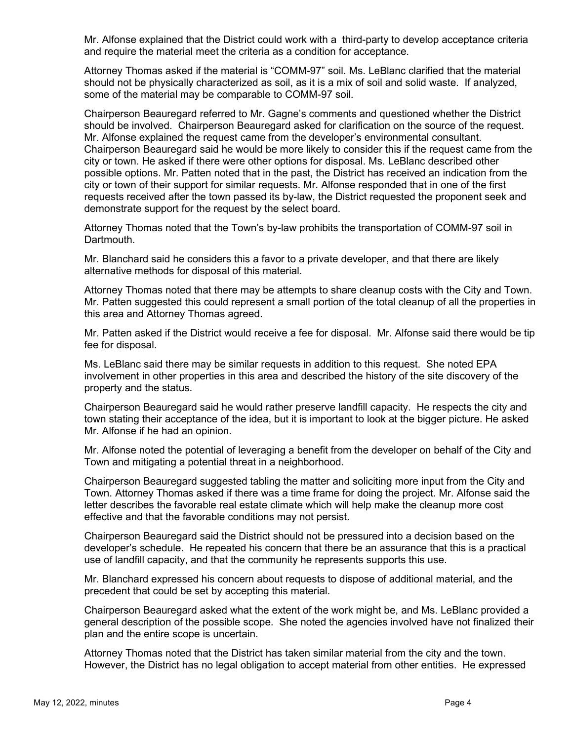Mr. Alfonse explained that the District could work with a third-party to develop acceptance criteria and require the material meet the criteria as a condition for acceptance.

Attorney Thomas asked if the material is "COMM-97" soil. Ms. LeBlanc clarified that the material should not be physically characterized as soil, as it is a mix of soil and solid waste. If analyzed, some of the material may be comparable to COMM-97 soil.

Chairperson Beauregard referred to Mr. Gagne's comments and questioned whether the District should be involved. Chairperson Beauregard asked for clarification on the source of the request. Mr. Alfonse explained the request came from the developer's environmental consultant. Chairperson Beauregard said he would be more likely to consider this if the request came from the city or town. He asked if there were other options for disposal. Ms. LeBlanc described other possible options. Mr. Patten noted that in the past, the District has received an indication from the city or town of their support for similar requests. Mr. Alfonse responded that in one of the first requests received after the town passed its by-law, the District requested the proponent seek and demonstrate support for the request by the select board.

Attorney Thomas noted that the Town's by-law prohibits the transportation of COMM-97 soil in Dartmouth.

Mr. Blanchard said he considers this a favor to a private developer, and that there are likely alternative methods for disposal of this material.

Attorney Thomas noted that there may be attempts to share cleanup costs with the City and Town. Mr. Patten suggested this could represent a small portion of the total cleanup of all the properties in this area and Attorney Thomas agreed.

Mr. Patten asked if the District would receive a fee for disposal. Mr. Alfonse said there would be tip fee for disposal.

Ms. LeBlanc said there may be similar requests in addition to this request. She noted EPA involvement in other properties in this area and described the history of the site discovery of the property and the status.

Chairperson Beauregard said he would rather preserve landfill capacity. He respects the city and town stating their acceptance of the idea, but it is important to look at the bigger picture. He asked Mr. Alfonse if he had an opinion.

Mr. Alfonse noted the potential of leveraging a benefit from the developer on behalf of the City and Town and mitigating a potential threat in a neighborhood.

Chairperson Beauregard suggested tabling the matter and soliciting more input from the City and Town. Attorney Thomas asked if there was a time frame for doing the project. Mr. Alfonse said the letter describes the favorable real estate climate which will help make the cleanup more cost effective and that the favorable conditions may not persist.

Chairperson Beauregard said the District should not be pressured into a decision based on the developer's schedule. He repeated his concern that there be an assurance that this is a practical use of landfill capacity, and that the community he represents supports this use.

Mr. Blanchard expressed his concern about requests to dispose of additional material, and the precedent that could be set by accepting this material.

Chairperson Beauregard asked what the extent of the work might be, and Ms. LeBlanc provided a general description of the possible scope. She noted the agencies involved have not finalized their plan and the entire scope is uncertain.

Attorney Thomas noted that the District has taken similar material from the city and the town. However, the District has no legal obligation to accept material from other entities. He expressed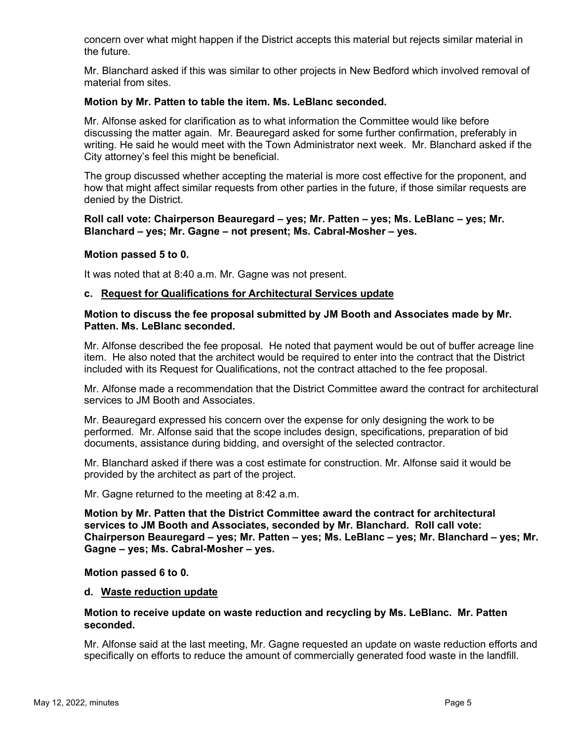concern over what might happen if the District accepts this material but rejects similar material in the future.

Mr. Blanchard asked if this was similar to other projects in New Bedford which involved removal of material from sites.

#### **Motion by Mr. Patten to table the item. Ms. LeBlanc seconded.**

Mr. Alfonse asked for clarification as to what information the Committee would like before discussing the matter again. Mr. Beauregard asked for some further confirmation, preferably in writing. He said he would meet with the Town Administrator next week. Mr. Blanchard asked if the City attorney's feel this might be beneficial.

The group discussed whether accepting the material is more cost effective for the proponent, and how that might affect similar requests from other parties in the future, if those similar requests are denied by the District.

#### **Roll call vote: Chairperson Beauregard – yes; Mr. Patten – yes; Ms. LeBlanc – yes; Mr. Blanchard – yes; Mr. Gagne – not present; Ms. Cabral-Mosher – yes.**

#### **Motion passed 5 to 0.**

It was noted that at 8:40 a.m. Mr. Gagne was not present.

#### **c. Request for Qualifications for Architectural Services update**

#### **Motion to discuss the fee proposal submitted by JM Booth and Associates made by Mr. Patten. Ms. LeBlanc seconded.**

Mr. Alfonse described the fee proposal. He noted that payment would be out of buffer acreage line item. He also noted that the architect would be required to enter into the contract that the District included with its Request for Qualifications, not the contract attached to the fee proposal.

Mr. Alfonse made a recommendation that the District Committee award the contract for architectural services to JM Booth and Associates.

Mr. Beauregard expressed his concern over the expense for only designing the work to be performed. Mr. Alfonse said that the scope includes design, specifications, preparation of bid documents, assistance during bidding, and oversight of the selected contractor.

Mr. Blanchard asked if there was a cost estimate for construction. Mr. Alfonse said it would be provided by the architect as part of the project.

Mr. Gagne returned to the meeting at 8:42 a.m.

**Motion by Mr. Patten that the District Committee award the contract for architectural services to JM Booth and Associates, seconded by Mr. Blanchard. Roll call vote: Chairperson Beauregard – yes; Mr. Patten – yes; Ms. LeBlanc – yes; Mr. Blanchard – yes; Mr. Gagne – yes; Ms. Cabral-Mosher – yes.** 

#### **Motion passed 6 to 0.**

#### **d. Waste reduction update**

#### **Motion to receive update on waste reduction and recycling by Ms. LeBlanc. Mr. Patten seconded.**

Mr. Alfonse said at the last meeting, Mr. Gagne requested an update on waste reduction efforts and specifically on efforts to reduce the amount of commercially generated food waste in the landfill.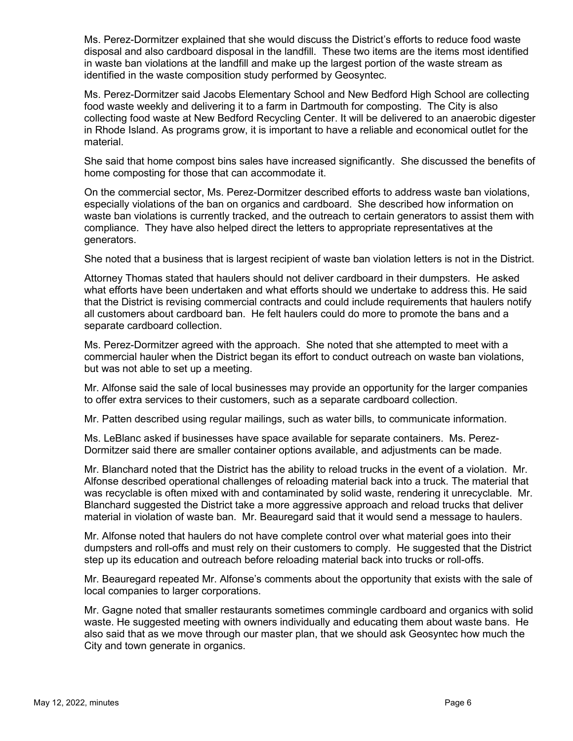Ms. Perez-Dormitzer explained that she would discuss the District's efforts to reduce food waste disposal and also cardboard disposal in the landfill. These two items are the items most identified in waste ban violations at the landfill and make up the largest portion of the waste stream as identified in the waste composition study performed by Geosyntec.

Ms. Perez-Dormitzer said Jacobs Elementary School and New Bedford High School are collecting food waste weekly and delivering it to a farm in Dartmouth for composting. The City is also collecting food waste at New Bedford Recycling Center. It will be delivered to an anaerobic digester in Rhode Island. As programs grow, it is important to have a reliable and economical outlet for the material.

She said that home compost bins sales have increased significantly. She discussed the benefits of home composting for those that can accommodate it.

On the commercial sector, Ms. Perez-Dormitzer described efforts to address waste ban violations, especially violations of the ban on organics and cardboard. She described how information on waste ban violations is currently tracked, and the outreach to certain generators to assist them with compliance. They have also helped direct the letters to appropriate representatives at the generators.

She noted that a business that is largest recipient of waste ban violation letters is not in the District.

Attorney Thomas stated that haulers should not deliver cardboard in their dumpsters. He asked what efforts have been undertaken and what efforts should we undertake to address this. He said that the District is revising commercial contracts and could include requirements that haulers notify all customers about cardboard ban. He felt haulers could do more to promote the bans and a separate cardboard collection.

Ms. Perez-Dormitzer agreed with the approach. She noted that she attempted to meet with a commercial hauler when the District began its effort to conduct outreach on waste ban violations, but was not able to set up a meeting.

Mr. Alfonse said the sale of local businesses may provide an opportunity for the larger companies to offer extra services to their customers, such as a separate cardboard collection.

Mr. Patten described using regular mailings, such as water bills, to communicate information.

Ms. LeBlanc asked if businesses have space available for separate containers. Ms. Perez-Dormitzer said there are smaller container options available, and adjustments can be made.

Mr. Blanchard noted that the District has the ability to reload trucks in the event of a violation. Mr. Alfonse described operational challenges of reloading material back into a truck. The material that was recyclable is often mixed with and contaminated by solid waste, rendering it unrecyclable. Mr. Blanchard suggested the District take a more aggressive approach and reload trucks that deliver material in violation of waste ban. Mr. Beauregard said that it would send a message to haulers.

Mr. Alfonse noted that haulers do not have complete control over what material goes into their dumpsters and roll-offs and must rely on their customers to comply. He suggested that the District step up its education and outreach before reloading material back into trucks or roll-offs.

Mr. Beauregard repeated Mr. Alfonse's comments about the opportunity that exists with the sale of local companies to larger corporations.

Mr. Gagne noted that smaller restaurants sometimes commingle cardboard and organics with solid waste. He suggested meeting with owners individually and educating them about waste bans. He also said that as we move through our master plan, that we should ask Geosyntec how much the City and town generate in organics.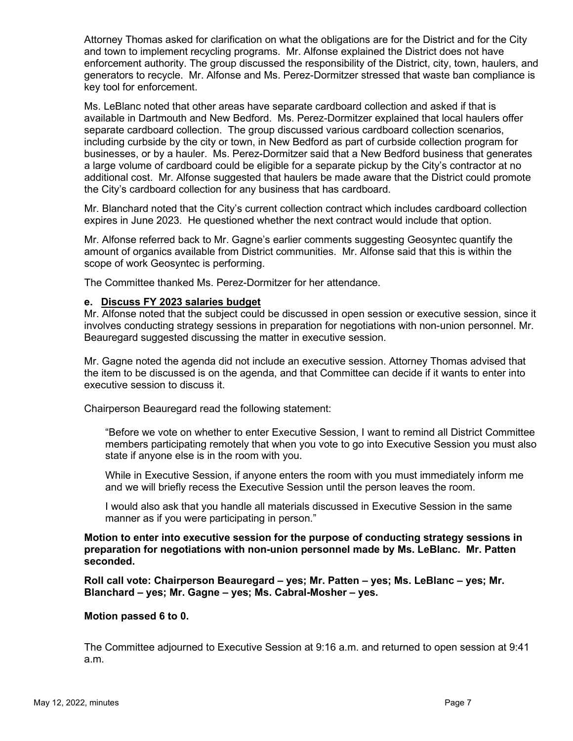Attorney Thomas asked for clarification on what the obligations are for the District and for the City and town to implement recycling programs. Mr. Alfonse explained the District does not have enforcement authority. The group discussed the responsibility of the District, city, town, haulers, and generators to recycle. Mr. Alfonse and Ms. Perez-Dormitzer stressed that waste ban compliance is key tool for enforcement.

Ms. LeBlanc noted that other areas have separate cardboard collection and asked if that is available in Dartmouth and New Bedford. Ms. Perez-Dormitzer explained that local haulers offer separate cardboard collection. The group discussed various cardboard collection scenarios, including curbside by the city or town, in New Bedford as part of curbside collection program for businesses, or by a hauler. Ms. Perez-Dormitzer said that a New Bedford business that generates a large volume of cardboard could be eligible for a separate pickup by the City's contractor at no additional cost. Mr. Alfonse suggested that haulers be made aware that the District could promote the City's cardboard collection for any business that has cardboard.

Mr. Blanchard noted that the City's current collection contract which includes cardboard collection expires in June 2023. He questioned whether the next contract would include that option.

Mr. Alfonse referred back to Mr. Gagne's earlier comments suggesting Geosyntec quantify the amount of organics available from District communities. Mr. Alfonse said that this is within the scope of work Geosyntec is performing.

The Committee thanked Ms. Perez-Dormitzer for her attendance.

#### **e. Discuss FY 2023 salaries budget**

Mr. Alfonse noted that the subject could be discussed in open session or executive session, since it involves conducting strategy sessions in preparation for negotiations with non-union personnel. Mr. Beauregard suggested discussing the matter in executive session.

Mr. Gagne noted the agenda did not include an executive session. Attorney Thomas advised that the item to be discussed is on the agenda, and that Committee can decide if it wants to enter into executive session to discuss it.

Chairperson Beauregard read the following statement:

"Before we vote on whether to enter Executive Session, I want to remind all District Committee members participating remotely that when you vote to go into Executive Session you must also state if anyone else is in the room with you.

While in Executive Session, if anyone enters the room with you must immediately inform me and we will briefly recess the Executive Session until the person leaves the room.

I would also ask that you handle all materials discussed in Executive Session in the same manner as if you were participating in person."

**Motion to enter into executive session for the purpose of conducting strategy sessions in preparation for negotiations with non-union personnel made by Ms. LeBlanc. Mr. Patten seconded.** 

**Roll call vote: Chairperson Beauregard – yes; Mr. Patten – yes; Ms. LeBlanc – yes; Mr. Blanchard – yes; Mr. Gagne – yes; Ms. Cabral-Mosher – yes.** 

#### **Motion passed 6 to 0.**

The Committee adjourned to Executive Session at 9:16 a.m. and returned to open session at 9:41 a.m.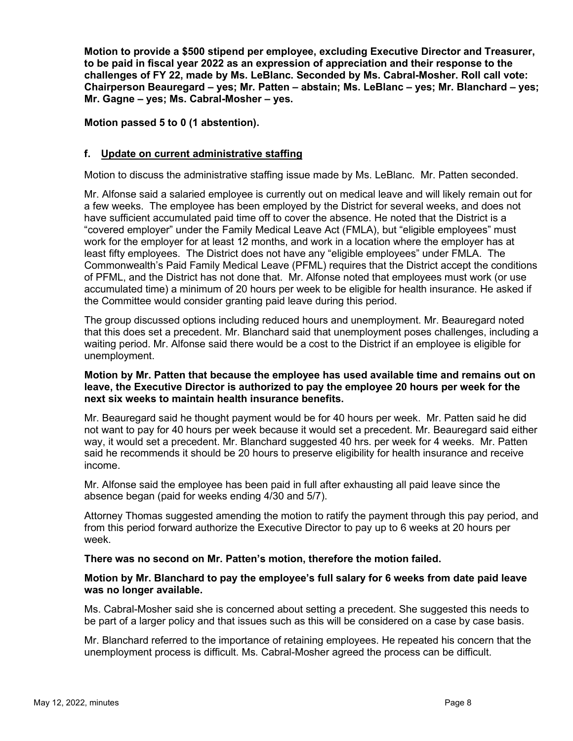**Motion to provide a \$500 stipend per employee, excluding Executive Director and Treasurer, to be paid in fiscal year 2022 as an expression of appreciation and their response to the challenges of FY 22, made by Ms. LeBlanc. Seconded by Ms. Cabral-Mosher. Roll call vote: Chairperson Beauregard – yes; Mr. Patten – abstain; Ms. LeBlanc – yes; Mr. Blanchard – yes; Mr. Gagne – yes; Ms. Cabral-Mosher – yes.** 

**Motion passed 5 to 0 (1 abstention).**

### **f. Update on current administrative staffing**

Motion to discuss the administrative staffing issue made by Ms. LeBlanc. Mr. Patten seconded.

Mr. Alfonse said a salaried employee is currently out on medical leave and will likely remain out for a few weeks. The employee has been employed by the District for several weeks, and does not have sufficient accumulated paid time off to cover the absence. He noted that the District is a "covered employer" under the Family Medical Leave Act (FMLA), but "eligible employees" must work for the employer for at least 12 months, and work in a location where the employer has at least fifty employees. The District does not have any "eligible employees" under FMLA. The Commonwealth's Paid Family Medical Leave (PFML) requires that the District accept the conditions of PFML, and the District has not done that. Mr. Alfonse noted that employees must work (or use accumulated time) a minimum of 20 hours per week to be eligible for health insurance. He asked if the Committee would consider granting paid leave during this period.

The group discussed options including reduced hours and unemployment. Mr. Beauregard noted that this does set a precedent. Mr. Blanchard said that unemployment poses challenges, including a waiting period. Mr. Alfonse said there would be a cost to the District if an employee is eligible for unemployment.

#### **Motion by Mr. Patten that because the employee has used available time and remains out on leave, the Executive Director is authorized to pay the employee 20 hours per week for the next six weeks to maintain health insurance benefits.**

Mr. Beauregard said he thought payment would be for 40 hours per week. Mr. Patten said he did not want to pay for 40 hours per week because it would set a precedent. Mr. Beauregard said either way, it would set a precedent. Mr. Blanchard suggested 40 hrs. per week for 4 weeks. Mr. Patten said he recommends it should be 20 hours to preserve eligibility for health insurance and receive income.

Mr. Alfonse said the employee has been paid in full after exhausting all paid leave since the absence began (paid for weeks ending 4/30 and 5/7).

Attorney Thomas suggested amending the motion to ratify the payment through this pay period, and from this period forward authorize the Executive Director to pay up to 6 weeks at 20 hours per week.

#### **There was no second on Mr. Patten's motion, therefore the motion failed.**

#### **Motion by Mr. Blanchard to pay the employee's full salary for 6 weeks from date paid leave was no longer available.**

Ms. Cabral-Mosher said she is concerned about setting a precedent. She suggested this needs to be part of a larger policy and that issues such as this will be considered on a case by case basis.

Mr. Blanchard referred to the importance of retaining employees. He repeated his concern that the unemployment process is difficult. Ms. Cabral-Mosher agreed the process can be difficult.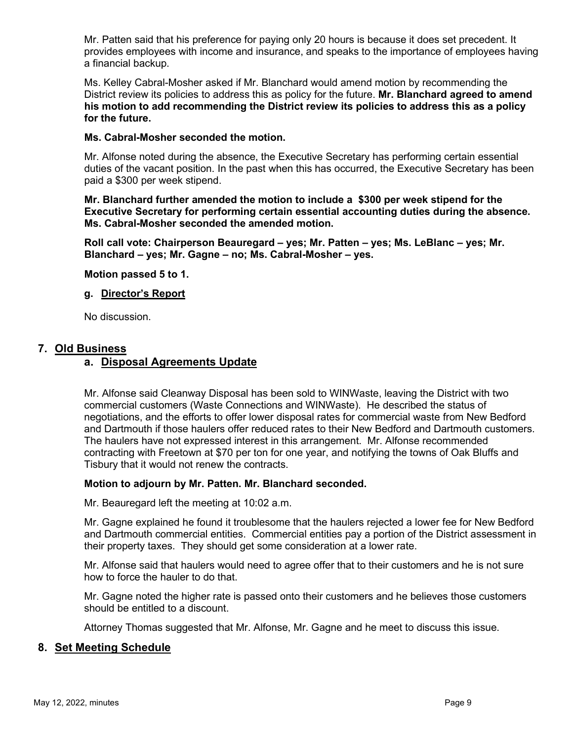Mr. Patten said that his preference for paying only 20 hours is because it does set precedent. It provides employees with income and insurance, and speaks to the importance of employees having a financial backup.

Ms. Kelley Cabral-Mosher asked if Mr. Blanchard would amend motion by recommending the District review its policies to address this as policy for the future. **Mr. Blanchard agreed to amend his motion to add recommending the District review its policies to address this as a policy for the future.** 

### **Ms. Cabral-Mosher seconded the motion.**

Mr. Alfonse noted during the absence, the Executive Secretary has performing certain essential duties of the vacant position. In the past when this has occurred, the Executive Secretary has been paid a \$300 per week stipend.

**Mr. Blanchard further amended the motion to include a \$300 per week stipend for the Executive Secretary for performing certain essential accounting duties during the absence. Ms. Cabral-Mosher seconded the amended motion.**

**Roll call vote: Chairperson Beauregard – yes; Mr. Patten – yes; Ms. LeBlanc – yes; Mr. Blanchard – yes; Mr. Gagne – no; Ms. Cabral-Mosher – yes.** 

### **Motion passed 5 to 1.**

### **g. Director's Report**

No discussion.

### **7. Old Business**

## **a. Disposal Agreements Update**

Mr. Alfonse said Cleanway Disposal has been sold to WINWaste, leaving the District with two commercial customers (Waste Connections and WINWaste). He described the status of negotiations, and the efforts to offer lower disposal rates for commercial waste from New Bedford and Dartmouth if those haulers offer reduced rates to their New Bedford and Dartmouth customers. The haulers have not expressed interest in this arrangement. Mr. Alfonse recommended contracting with Freetown at \$70 per ton for one year, and notifying the towns of Oak Bluffs and Tisbury that it would not renew the contracts.

#### **Motion to adjourn by Mr. Patten. Mr. Blanchard seconded.**

Mr. Beauregard left the meeting at 10:02 a.m.

Mr. Gagne explained he found it troublesome that the haulers rejected a lower fee for New Bedford and Dartmouth commercial entities. Commercial entities pay a portion of the District assessment in their property taxes. They should get some consideration at a lower rate.

Mr. Alfonse said that haulers would need to agree offer that to their customers and he is not sure how to force the hauler to do that.

Mr. Gagne noted the higher rate is passed onto their customers and he believes those customers should be entitled to a discount.

Attorney Thomas suggested that Mr. Alfonse, Mr. Gagne and he meet to discuss this issue.

### **8. Set Meeting Schedule**